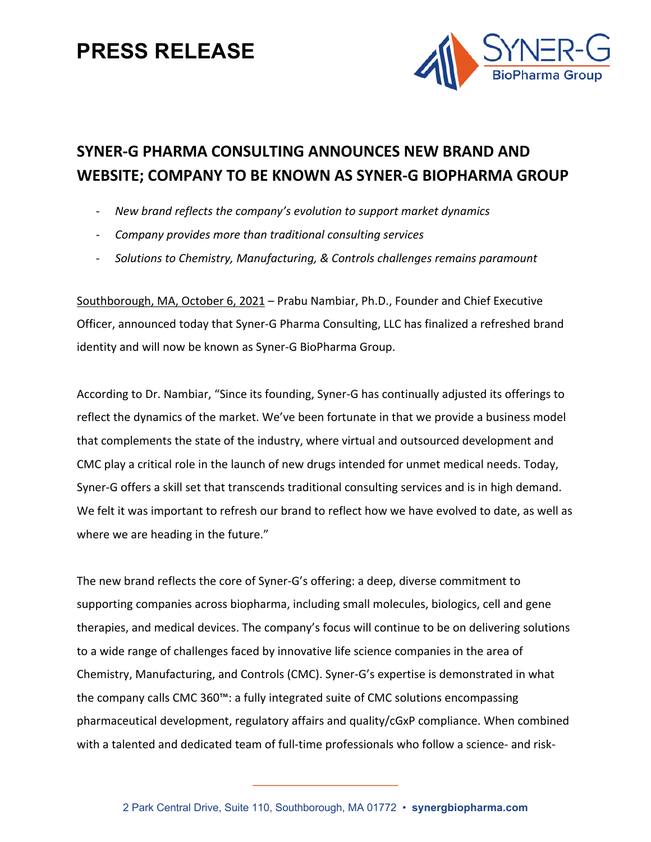### **PRESS RELEASE**



### **SYNER-G PHARMA CONSULTING ANNOUNCES NEW BRAND AND WEBSITE; COMPANY TO BE KNOWN AS SYNER-G BIOPHARMA GROUP**

- *New brand reflects the company's evolution to support market dynamics*
- *Company provides more than traditional consulting services*
- *Solutions to Chemistry, Manufacturing, & Controls challenges remains paramount*

Southborough, MA, October 6, 2021 – Prabu Nambiar, Ph.D., Founder and Chief Executive Officer, announced today that Syner-G Pharma Consulting, LLC has finalized a refreshed brand identity and will now be known as Syner-G BioPharma Group.

According to Dr. Nambiar, "Since its founding, Syner-G has continually adjusted its offerings to reflect the dynamics of the market. We've been fortunate in that we provide a business model that complements the state of the industry, where virtual and outsourced development and CMC play a critical role in the launch of new drugs intended for unmet medical needs. Today, Syner-G offers a skill set that transcends traditional consulting services and is in high demand. We felt it was important to refresh our brand to reflect how we have evolved to date, as well as where we are heading in the future."

The new brand reflects the core of Syner-G's offering: a deep, diverse commitment to supporting companies across biopharma, including small molecules, biologics, cell and gene therapies, and medical devices. The company's focus will continue to be on delivering solutions to a wide range of challenges faced by innovative life science companies in the area of Chemistry, Manufacturing, and Controls (CMC). Syner-G's expertise is demonstrated in what the company calls CMC 360™: a fully integrated suite of CMC solutions encompassing pharmaceutical development, regulatory affairs and quality/cGxP compliance. When combined with a talented and dedicated team of full-time professionals who follow a science- and risk-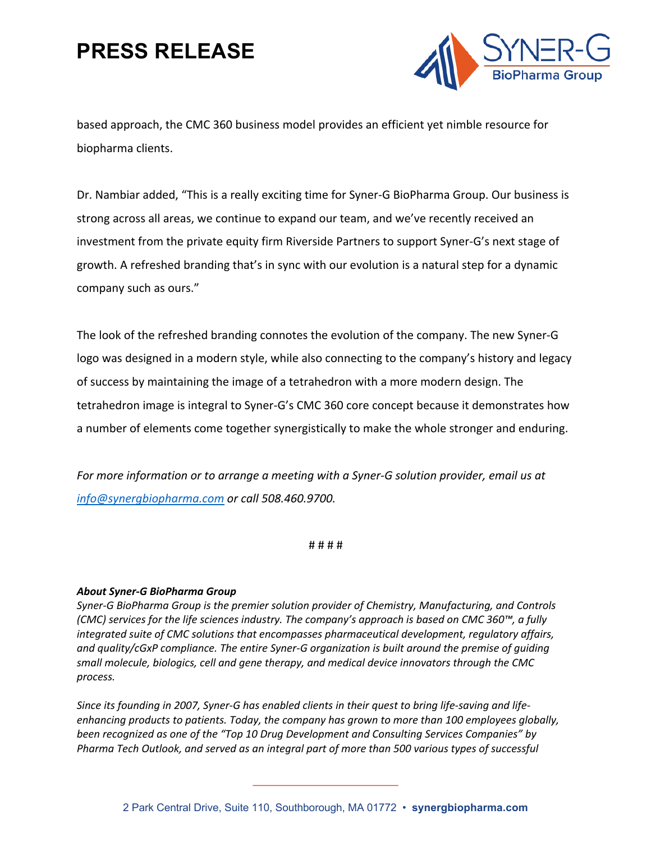## **PRESS RELEASE**



based approach, the CMC 360 business model provides an efficient yet nimble resource for biopharma clients.

Dr. Nambiar added, "This is a really exciting time for Syner-G BioPharma Group. Our business is strong across all areas, we continue to expand our team, and we've recently received an investment from the private equity firm Riverside Partners to support Syner-G's next stage of growth. A refreshed branding that's in sync with our evolution is a natural step for a dynamic company such as ours."

The look of the refreshed branding connotes the evolution of the company. The new Syner-G logo was designed in a modern style, while also connecting to the company's history and legacy of success by maintaining the image of a tetrahedron with a more modern design. The tetrahedron image is integral to Syner-G's CMC 360 core concept because it demonstrates how a number of elements come together synergistically to make the whole stronger and enduring.

*For more information or to arrange a meeting with a Syner-G solution provider, email us at info@synergbiopharma.com or call 508.460.9700.* 

# # # #

#### *About Syner-G BioPharma Group*

*Syner-G BioPharma Group is the premier solution provider of Chemistry, Manufacturing, and Controls (CMC) services for the life sciences industry. The company's approach is based on CMC 360™, a fully integrated suite of CMC solutions that encompasses pharmaceutical development, regulatory affairs, and quality/cGxP compliance. The entire Syner-G organization is built around the premise of guiding small molecule, biologics, cell and gene therapy, and medical device innovators through the CMC process.* 

*Since its founding in 2007, Syner-G has enabled clients in their quest to bring life-saving and lifeenhancing products to patients. Today, the company has grown to more than 100 employees globally, been recognized as one of the "Top 10 Drug Development and Consulting Services Companies" by Pharma Tech Outlook, and served as an integral part of more than 500 various types of successful*